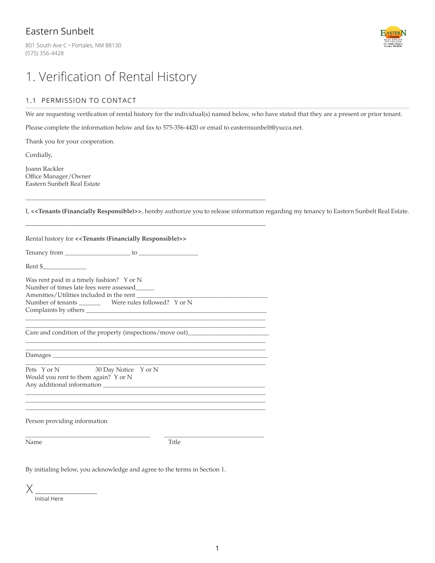### Eastern Sunbelt

801 South Ave C · Portales, NM 88130 (575) 356-4428



## 1. Verification of Rental History

#### 1.1 PERMISSION TO CONTACT

We are requesting verification of rental history for the individual(s) named below, who have stated that they are a present or prior tenant.

Please complete the information below and fax to 575-356-4420 or email to easternsunbelt@yucca.net.

\_\_\_\_\_\_\_\_\_\_\_\_\_\_\_\_\_\_\_\_\_\_\_\_\_\_\_\_\_\_\_\_\_\_\_\_\_\_\_\_\_\_\_\_\_\_\_\_\_\_\_\_\_\_\_\_\_\_\_\_\_\_\_\_\_\_\_\_\_\_\_\_\_\_\_\_\_

Thank you for your cooperation.

Cordially,

Joann Rackler Office Manager/Owner Eastern Sunbelt Real Estate

I, **<<Tenants (Financially Responsible)>>**, hereby authorize you to release information regarding my tenancy to Eastern Sunbelt Real Estate.

| Rental history for < <tenants (financially="" responsible)="">&gt;</tenants>                                                     |  |  |
|----------------------------------------------------------------------------------------------------------------------------------|--|--|
|                                                                                                                                  |  |  |
| $\mathop{\rm Rent} \S$                                                                                                           |  |  |
| Was rent paid in a timely fashion? Y or N<br>Number of times late fees were assessed<br>Amenities/Utilities included in the rent |  |  |
| Care and condition of the property (inspections/move out)_______________________                                                 |  |  |
| <u> 1989 - Johann Stoff, amerikansk politiker (* 1908)</u>                                                                       |  |  |
| Pets Y or N<br>30 Day Notice Y or N<br>Would you rent to them again? Y or N                                                      |  |  |
| Person providing information                                                                                                     |  |  |
| Name<br>Title                                                                                                                    |  |  |
| By initialing below, you acknowledge and agree to the terms in Section 1.                                                        |  |  |
|                                                                                                                                  |  |  |

Initial Here